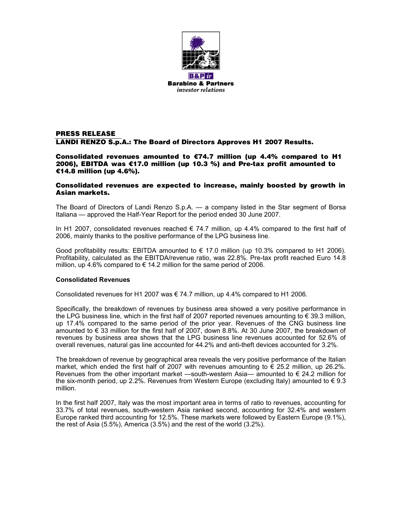

# **PRESS RELEASE LANDI RENZO S.p.A.: The Board of Directors Approves H1 2007 Results.**

**Consolidated revenues amounted to** €**74.7 million (up 4.4% compared to H1 2006), EBITDA was** €**17.0 million (up 10.3 %) and Pre-tax profit amounted to** €**14.8 million (up 4.6%).**

### **Consolidated revenues are expected to increase, mainly boosted by growth in Asian markets.**

The Board of Directors of Landi Renzo S.p.A. — a company listed in the Star segment of Borsa Italiana — approved the Half-Year Report for the period ended 30 June 2007.

In H1 2007, consolidated revenues reached  $\epsilon$  74.7 million, up 4.4% compared to the first half of 2006, mainly thanks to the positive performance of the LPG business line.

Good profitability results: EBITDA amounted to  $\in$  17.0 million (up 10.3% compared to H1 2006). Profitability, calculated as the EBITDA/revenue ratio, was 22.8%. Pre-tax profit reached Euro 14.8 million, up 4.6% compared to  $\epsilon$  14.2 million for the same period of 2006.

# **Consolidated Revenues**

Consolidated revenues for H1 2007 was  $\in$  74.7 million, up 4.4% compared to H1 2006.

Specifically, the breakdown of revenues by business area showed a very positive performance in the LPG business line, which in the first half of 2007 reported revenues amounting to  $\epsilon$  39.3 million, up 17.4% compared to the same period of the prior year. Revenues of the CNG business line amounted to  $\epsilon$  33 million for the first half of 2007, down 8.8%. At 30 June 2007, the breakdown of revenues by business area shows that the LPG business line revenues accounted for 52.6% of overall revenues, natural gas line accounted for 44.2% and anti-theft devices accounted for 3.2%.

The breakdown of revenue by geographical area reveals the very positive performance of the Italian market, which ended the first half of 2007 with revenues amounting to  $\epsilon$  25.2 million, up 26.2%. Revenues from the other important market —south-western Asia— amounted to  $\epsilon$  24.2 million for the six-month period, up 2.2%. Revenues from Western Europe (excluding Italy) amounted to  $\epsilon$  9.3 million.

In the first half 2007, Italy was the most important area in terms of ratio to revenues, accounting for 33.7% of total revenues, south-western Asia ranked second, accounting for 32.4% and western Europe ranked third accounting for 12.5%. These markets were followed by Eastern Europe (9.1%), the rest of Asia (5.5%), America (3.5%) and the rest of the world (3.2%).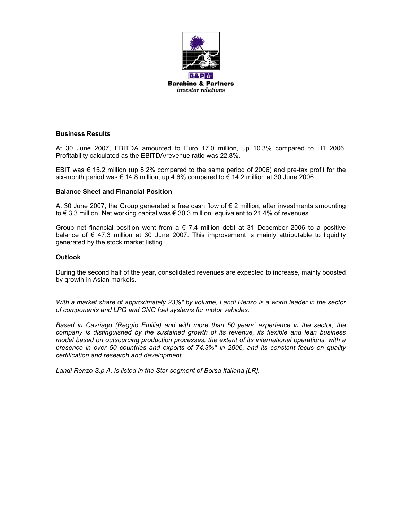

## **Business Results**

At 30 June 2007, EBITDA amounted to Euro 17.0 million, up 10.3% compared to H1 2006. Profitability calculated as the EBITDA/revenue ratio was 22.8%.

EBIT was  $\epsilon$  15.2 million (up 8.2% compared to the same period of 2006) and pre-tax profit for the six-month period was  $\epsilon$  14.8 million, up 4.6% compared to  $\epsilon$  14.2 million at 30 June 2006.

# **Balance Sheet and Financial Position**

At 30 June 2007, the Group generated a free cash flow of  $\epsilon$  2 million, after investments amounting to € 3.3 million. Net working capital was € 30.3 million, equivalent to 21.4% of revenues.

Group net financial position went from  $a \in 7.4$  million debt at 31 December 2006 to a positive balance of  $\epsilon$  47.3 million at 30 June 2007. This improvement is mainly attributable to liquidity generated by the stock market listing.

### **Outlook**

During the second half of the year, consolidated revenues are expected to increase, mainly boosted by growth in Asian markets.

*With a market share of approximately 23%\* by volume, Landi Renzo is a world leader in the sector of components and LPG and CNG fuel systems for motor vehicles.*

*Based in Cavriago (Reggio Emilia) and with more than 50 years' experience in the sector, the company is distinguished by the sustained growth of its revenue, its flexible and lean business model based on outsourcing production processes, the extent of its international operations, with a presence in over 50 countries and exports of 74.3%° in 2006, and its constant focus on quality certification and research and development.*

*Landi Renzo S.p.A. is listed in the Star segment of Borsa Italiana [LR].*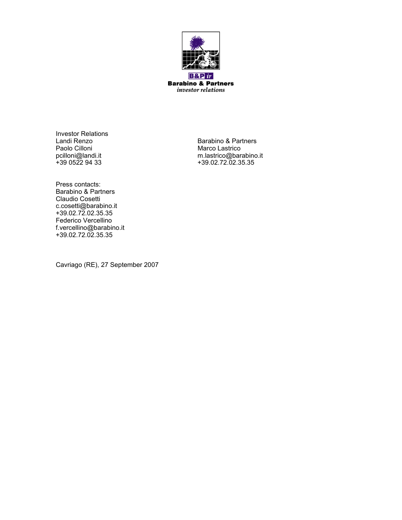

**Barabino & Partners** investor relations

Investor Relations<br>Landi Renzo Paolo Cilloni Marco Lastrico<br>
pcilloni@landi.it m.lastrico@bara

Landi Renzo Barabino & Partners pcilloni@landi.it m.lastrico@barabino.it +39 0522 94 33 +39.02.72.02.35.35

Press contacts: Barabino & Partners Claudio Cosetti c.cosetti@barabino.it +39.02.72.02.35.35 Federico Vercellino f.vercellino@barabino.it +39.02.72.02.35.35

Cavriago (RE), 27 September 2007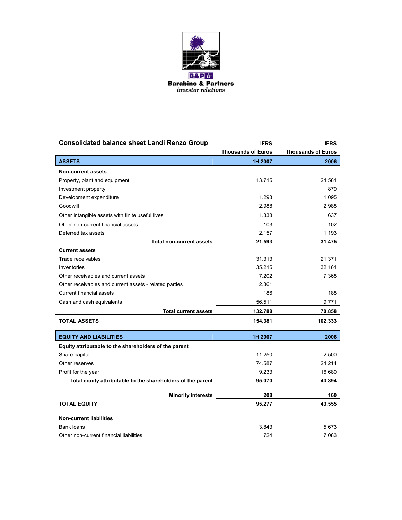

| <b>Consolidated balance sheet Landi Renzo Group</b>         | <b>IFRS</b>               | <b>IFRS</b>               |
|-------------------------------------------------------------|---------------------------|---------------------------|
|                                                             | <b>Thousands of Euros</b> | <b>Thousands of Euros</b> |
| <b>ASSETS</b>                                               | 1H 2007                   | 2006                      |
| <b>Non-current assets</b>                                   |                           |                           |
| Property, plant and equipment                               | 13.715                    | 24.581                    |
| Investment property                                         |                           | 879                       |
| Development expenditure                                     | 1.293                     | 1.095                     |
| Goodwill                                                    | 2.988                     | 2.988                     |
| Other intangible assets with finite useful lives            | 1.338                     | 637                       |
| Other non-current financial assets                          | 103                       | 102                       |
| Deferred tax assets                                         | 2.157                     | 1.193                     |
| <b>Total non-current assets</b>                             | 21.593                    | 31.475                    |
| <b>Current assets</b>                                       |                           |                           |
| Trade receivables                                           | 31.313                    | 21.371                    |
| Inventories                                                 | 35.215                    | 32.161                    |
| Other receivables and current assets                        | 7.202                     | 7.368                     |
| Other receivables and current assets - related parties      | 2.361                     |                           |
| <b>Current financial assets</b>                             | 186                       | 188                       |
| Cash and cash equivalents                                   | 56.511                    | 9.771                     |
| <b>Total current assets</b>                                 | 132.788                   | 70.858                    |
| <b>TOTAL ASSETS</b>                                         | 154.381                   | 102.333                   |
| <b>EQUITY AND LIABILITIES</b>                               | 1H 2007                   | 2006                      |
| Equity attributable to the shareholders of the parent       |                           |                           |
| Share capital                                               | 11.250                    | 2.500                     |
| Other reserves                                              | 74.587                    | 24.214                    |
| Profit for the year                                         | 9.233                     | 16.680                    |
| Total equity attributable to the shareholders of the parent | 95.070                    | 43.394                    |
| <b>Minority interests</b>                                   | 208                       | 160                       |
| <b>TOTAL EQUITY</b>                                         | 95.277                    | 43.555                    |
| <b>Non-current liabilities</b>                              |                           |                           |
| Bank loans                                                  | 3.843                     | 5.673                     |
| Other non-current financial liabilities                     | 724                       | 7.083                     |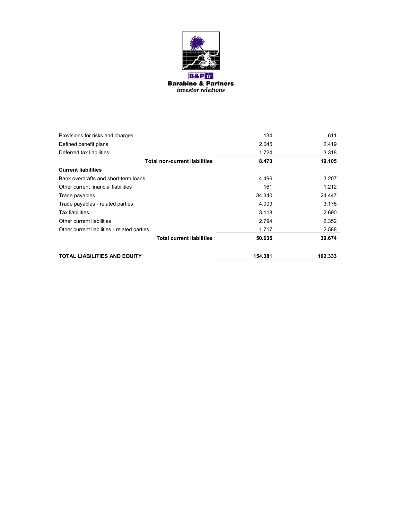

| Provisions for risks and charges            | 134     | 611     |
|---------------------------------------------|---------|---------|
| Defined benefit plans                       | 2.045   | 2.419   |
| Deferred tax liabilities                    | 1.724   | 3.318   |
| <b>Total non-current liabilities</b>        | 8.470   | 19.105  |
| <b>Current liabilities</b>                  |         |         |
| Bank overdrafts and short-term loans        | 4.496   | 3.207   |
| Other current financial liabilities         | 161     | 1.212   |
| Trade payables                              | 34.340  | 24.447  |
| Trade payables - related parties            | 4.009   | 3.178   |
| Tax liabilities                             | 3.118   | 2.690   |
| Other current liabilities                   | 2.794   | 2.352   |
| Other current liabilities - related parties | 1.717   | 2.588   |
| <b>Total current liabilities</b>            | 50.635  | 39.674  |
| TOTAL LIABILITIES AND EQUITY                | 154.381 | 102.333 |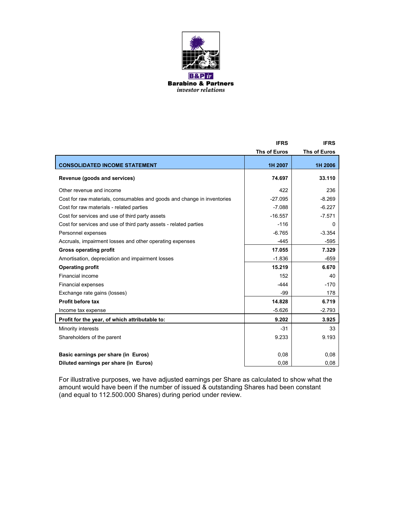

|                                                                         | <b>IFRS</b>         | <b>IFRS</b>         |
|-------------------------------------------------------------------------|---------------------|---------------------|
|                                                                         | <b>Ths of Euros</b> | <b>Ths of Euros</b> |
| <b>CONSOLIDATED INCOME STATEMENT</b>                                    | 1H 2007             | 1H 2006             |
| Revenue (goods and services)                                            | 74.697              | 33.110              |
| Other revenue and income                                                | 422                 | 236                 |
| Cost for raw materials, consumables and goods and change in inventories | $-27.095$           | $-8.269$            |
| Cost for raw materials - related parties                                | $-7.088$            | $-6.227$            |
| Cost for services and use of third party assets                         | $-16.557$           | $-7.571$            |
| Cost for services and use of third party assets - related parties       | $-116$              | ŋ                   |
| Personnel expenses                                                      | $-6.765$            | $-3.354$            |
| Accruals, impairment losses and other operating expenses                | $-445$              | $-595$              |
| <b>Gross operating profit</b>                                           | 17.055              | 7.329               |
| Amortisation, depreciation and impairment losses                        | $-1.836$            | $-659$              |
| <b>Operating profit</b>                                                 | 15.219              | 6.670               |
| Financial income                                                        | 152                 | 40                  |
| <b>Financial expenses</b>                                               | $-444$              | $-170$              |
| Exchange rate gains (losses)                                            | -99                 | 178                 |
| Profit before tax                                                       | 14.828              | 6.719               |
| Income tax expense                                                      | $-5.626$            | $-2.793$            |
| Profit for the year, of which attributable to:                          | 9.202               | 3.925               |
| Minority interests                                                      | $-31$               | 33                  |
| Shareholders of the parent                                              | 9.233               | 9.193               |
|                                                                         |                     |                     |
| Basic earnings per share (in Euros)                                     | 0,08                | 0,08                |
| Diluted earnings per share (in Euros)                                   | 0,08                | 0,08                |

For illustrative purposes, we have adjusted earnings per Share as calculated to show what the amount would have been if the number of issued & outstanding Shares had been constant (and equal to 112.500.000 Shares) during period under review.